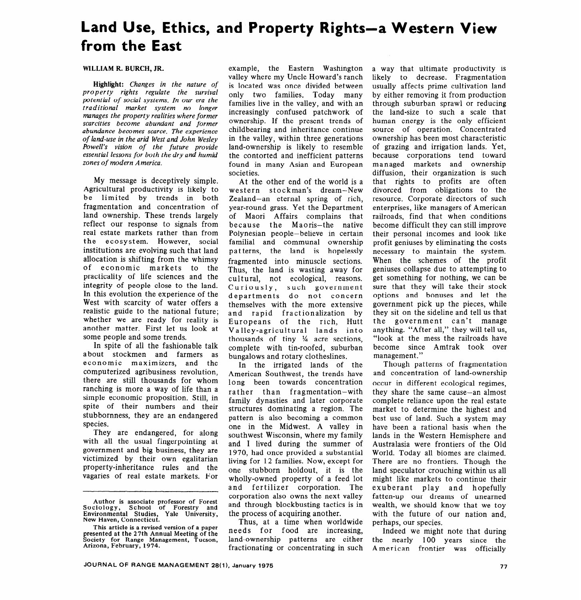## Land Use, Ethics, and Property Rights-a Western View from the East

## **WILLIAM R. BURCH, JR.**

**Highlight:** *Changes in the nature of property rights regulate the survival potential of social systems. In our era the traditional market system no longer manages the property realities where former scarcities become abundant and former abundance becomes scarce. The experience of land-use in the arid West and John Wesley Powell's vision of the future provide essential lessons for both the dry and humid zones of modern America.* 

My message is deceptively simple. Agricultural productivity is likely to be limited by trends in both fragmentation and concentration of land ownership. These trends largely reflect our response to signals from real estate markets rather than from the ecosystem. However, social institutions are evolving such that land allocation is shifting from the whimsy of economic markets to the practicality of life sciences and the integrity of people close to the land. In this evolution the experience of the West with scarcity of water offers a realistic guide to the national future; whether we are ready for reality is another matter. First let us look at some people and some trends.

In spite of all the fashionable talk a bout stockmen and farmers as economic maximizers, and the computerized agribusiness revolution, there are still thousands for whom ranching is more a way of life than a simple economic proposition. Still, in spite of their numbers and their stubbornness, they are an endangered species.

They are endangered, for along with all the usual fingerpointing at government and big business, they are victimized by their own egalitarian property-inheritance rules and the vagaries of real estate markets. For example, the Eastern Washington valley where my Uncle Howard's ranch is located was once divided between only two families. Today many families live in the valley, and with an increasingly confused patchwork of ownership. If the present trends of childbearing and inheritance continue in the valley, within three generations land-ownership is likely to resemble the contorted and inefficient patterns found in many Asian and European societies.

At the other end of the world is a western stockman's dream-New Zealand-an eternal spring of rich, year-round grass. Yet the Department of Maori Affairs complains that because the Maoris-the native Polynesian people-believe in certain familial and communal ownership pat terns, the land is hopelessly fragmented into minuscle sections. Thus, the land is wasting away for cultural, not ecological, reasons. Curiously, such government departments do not concern themselves with the more extensive and rapid fractionalization by Europeans of the rich, Hutt Valley-agricultural lands into thousands of tiny  $\frac{1}{4}$  acre sections, complete with tin-roofed, suburban bungalows and rotary clotheslines.

In the irrigated lands of the American Southwest, the trends have long been towards concentration rather than fragmentation-with family dynasties and later corporate structures dominating a region. The pattern is also becoming a common one in the Midwest. A valley in southwest Wisconsin, where my family and I lived during the summer of 1970, had once provided a substantial living for 12 families. Now, except for one stubborn holdout, it is the wholly-owned property of a feed lot and fertilizer corporation. The corporation also owns the next valley and through blockbusting tactics is in the process of acquiring another.

Thus, at a time when worldwide needs for food are increasing, land-ownership patterns are either fractionating or concentrating in such a way that ultimate productivity is likely to decrease. Fragmentation usually affects prime cultivation land by either removing it from production through suburban sprawl or reducing the land-size to such a scale that human energy is the only efficient source of operation. Concentrated ownership has been most characteristic of grazing and irrigation lands. Yet, because corporations tend toward managed markets and ownership diffusion, their organization is such that rights to profits are often divorced from obligations to the resource. Corporate directors of such enterprises, like managers of American railroads, find that when conditions become difficult they can still improve their personal incomes and look like profit geniuses by eliminating the costs necessary to maintain the system. When the schemes of the profit geniuses collapse due to attempting to get something for nothing, we can be sure that they will take their stock options and bonuses and let the government pick up the pieces, while they sit on the sideline and tell us that the government can't manage anything. "After all," they will tell us, "look at the mess the railroads have become since Amtrak took over management."

Though patterns of fragmentation and concentration of land-ownership occur in different ecological regimes, they share the same cause-an almost complete reliance upon the real estate market to determine the highest and best use of land. Such a system may have been a rational basis when the lands in the Western Hemisphere and Australasia were frontiers of the Old World. Today all biomes are claimed. There are no frontiers. Though the land speculator crouching within us all might like markets to continue their exuberant play and hopefully fatten-up our dreams of unearned wealth, we should know that we toy with the future of our nation and, perhaps, our species.

Indeed we might note that during the nearly 100 years since the American frontier was officially

**Author is associate professor of Forest Sociology, School of Forestry and Environmental Studies, Yale University, New Haven, Connecticut.** 

**This article is a revised version of a paper presented at the 27th Annual Meeting of the Society for Range Management, Tucson, Arizona, February, 1974.**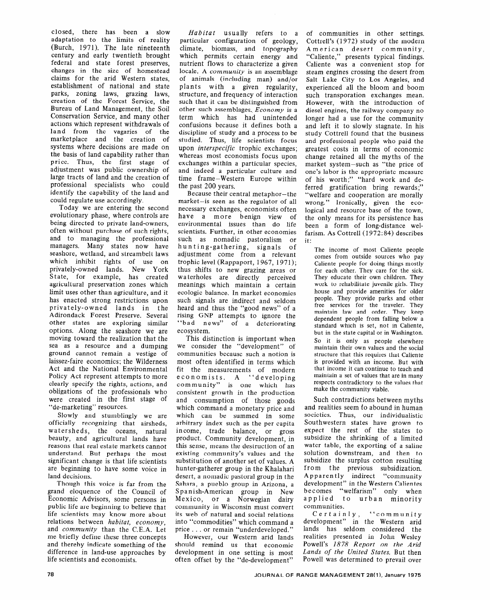closed, there has been a slow adaptation to the limits of reality (Burch, 1971). The late nineteenth century and early twentieth brought federal and state forest preserves, changes in the size of homestead claims for the arid Western states, establishment of national and state parks, zoning laws, grazing laws, creation of the Forest Service, the Bureau of Land Management, the Soil Conservation Service, and many other actions which represent withdrawals of land from the vagaries of the marketplace and the creation of systems where decisions are made on the basis of land capability rather than price. Thus, the first stage of adjustment was public ownership of large tracts of land and the creation of professional specialists who could identify the capability of the land and could regulate use accordingly.

Today we are entering the second evolutionary phase, where controls are being directed to private land-owners, often without purchase of such rights, and to managing the professional managers. Many states now have seashore, wetland, and streambelt laws which inhibit rights of use on privately-owned lands. New York State, for example, has created agricultural preservation zones which limit uses other than agriculture, and it has enacted strong restrictions upon privately-owned lands in the Adirondack Forest Preserve. Several other states are exploring similar options. Along the seashore we are moving toward the realization that the sea as a resource and a dumping ground cannot remain a vestige of laissez-faire economics; the Wilderness Act and the National Environmental Policy Act represent attempts to more clearly specify the rights, actions, and obligations of the professionals who were created in the first stage of "de-marketing" resource

Slowly and stumblingly we are officially recognizing that airsheds, watersheds, the oceans, natural beauty, and agricultural lands have reasons that real estate markets cannot understand. But perhaps the most significant change is that life scientists are beginning to have some voice in land decisions.

Though this voice is far from the grand eloquence of the Council of Economic Advisors, some persons in public life are beginning to believe that life scientists may know more about relations between *habitat, economy,*  and *community* than the C.E.A. Let me briefly define these three concepts and thereby indicate something of the difference in land-use approaches by life scientists and economists.

*Habitat* usually refers to a particular configuration of geology, climate, biomass, and topography which permits certain energy and nutrient flows to characterize a given locale. A *community* is an assemblage of animals (including man) and/or plants with a given regularity, structure, and frequency of interaction such that it can be distinguished from other such assemblages. Economy is a term which has had unintended confusions because it defines both a discipline of study and a process to be studied. Thus, life scientists focus upon *interspecific* trophic exchanges; whereas most economists focus upon exchanges within a particular species, and indeed a particular culture and time frame-Western Europe within the past 200 years.

Because their central metaphor-the market-is seen as the regulator of all necessary exchanges, economists often have a more benign view of environmental issues than do life scientists. Further, in other economies such as nomadic pastoralism or hunting-gathering, signals of adjustment come from a relevant trophic level (Rappaport, 1967, 1971); thus shifts to new grazing areas or waterholes are directly perceived meanings which maintain a certain ecologic balance. In market economies such signals are indirect and seldom heard and thus the "good news" of a rising GNP attempts to ignore the "bad news" of a deteriorating ecosystem.

This distinction is important when we consider the "development" of communities because such a notion is most often identified in terms which fit the measurements of modern economists. A ''developing community" is one which has consistent growth in the production and consumption of those goods which command a monetary price and which can be summed in some arbitrary index such as the per capita income, trade balance, or gross product. Community development, in this sense, means the destruction of an existing community's values and the substitution of another set of values. A hunter-gatherer group in the Khalahari desert, a nomadic pastoral group in the Sahara, a pueblo group in Arizona, a Spanish-American group in New Mexico, or a Norwegian dairy community in Wisconsin must convert its web of natural and social relations into "commodities" which command a price . . . or remain "underdeveloped."

However, our Western arid lands should remind us that economic development in one setting is most often offset by the "de-development"

of communities in other settings. Cottrell's (1972) study of the modern American desert community, "Caliente," presents typical findings. Caliente was a convenient stop for steam engines crossing the desert from Salt Lake City to Los Angeles, and experienced all the bloom and boom such transporation exchanges mean. However, with the introduction of diesel engines, the railway company no longer had a use for the community and left it to slowly stagnate. In his study Cottrell found that the business and professional people who paid the greatest costs in terms of economic change retained all the myths of the market system-such as "the price of one's labor is the appropriate measure of his worth;" "hard work and deferred gratification bring rewards;" "welfare and cooperation are morally wrong." Ironically, given the ecological and resource base of the town, the only means for its persistence has been a form of long-distance welfarism. As Cottrell (1972:84) describes it:

The income of most Caliente people comes from outside sources who pay Caliente people for doing things mostly for each other. They care for the sick. They educate their own children. They work to rehabilitate juvenile girls. They house and provide amenities for older people. They provide parks and other free services for the traveler. They maintain law and order. They keep dependent people from falling below a standard which is set, not in Caliente, but in the state capital or in Washington. *So* it is only as people elsewhere maintain their own values and the social structure that this requires that Caliente is provided with an income. But with that income it can continue to teach and maintain a set of values that are in many respects contradictory to the values that make the community viable.

Such contradictions between myths and realities seem to abound in human societies. Thus, our individualistic Southwestern states have grown to expect the rest of the states to subsidize the shrinking of a limited water table, the exporting of a saline solution downstream, and then to subsidize the surplus cotton resulting from the previous subsidization. Apparently indirect "community development" in the Western Calientes becomes "welfarism" only when applied to urban minority communities.

Certainly, "community development" in the Western arid lands has seldom considered the realities presented in John Wesley Powell's 1878 *Report on the Arid Lands of the United States.* But then Powell was determined to prevail over